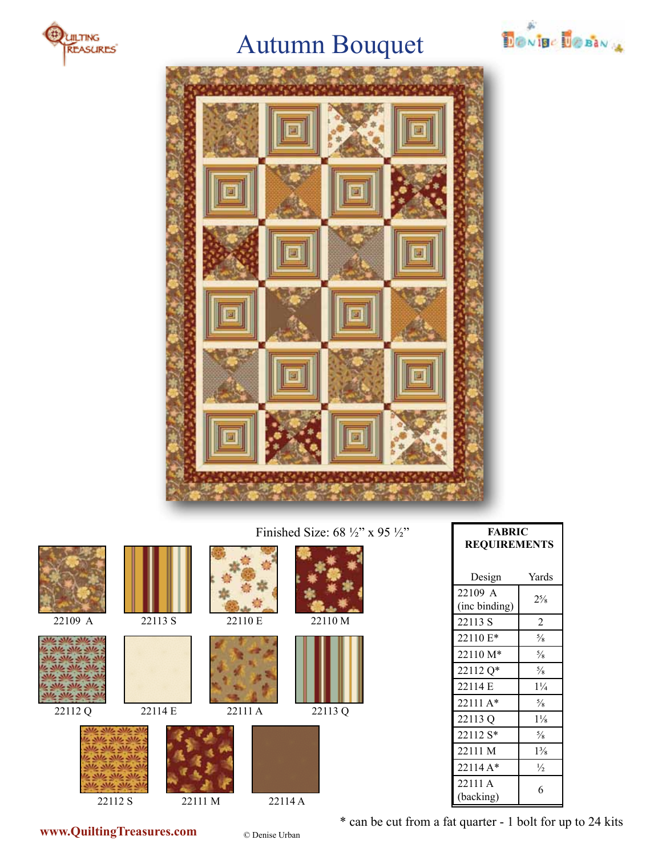

## Autumn Bouquet





### Finished Size: 68 ½" x 95 ½"

















Design Yards 22109 A  $\begin{array}{c|c}\n 22109 & A \\
\hline\n \text{(inc binding)} & 2\frac{5}{8}\n \end{array}$ 22113 S 2 22110  $E^*$   $\frac{5}{8}$  $22110 M^*$   $\frac{5}{8}$ 22112  $Q^*$   $\frac{5}{8}$ 22114 E 1¼ 22111 A\*  $\frac{5}{8}$ 22113 Q 1<sup>1</sup>/<sub>8</sub> 22112  $S^*$  |  $\frac{5}{8}$ 22111 M 1<sup>3</sup>/<sub>8</sub>

**FABRIC REQUIREMENTS**

 $\begin{bmatrix} 22111A \\ (backing) \end{bmatrix}$  6 \* can be cut from a fat quarter - 1 bolt for up to 24 kits

22111 A

22114  $A^*$   $\frac{1}{2}$ 

**www.QuiltingTreasures.com** © Denise Urban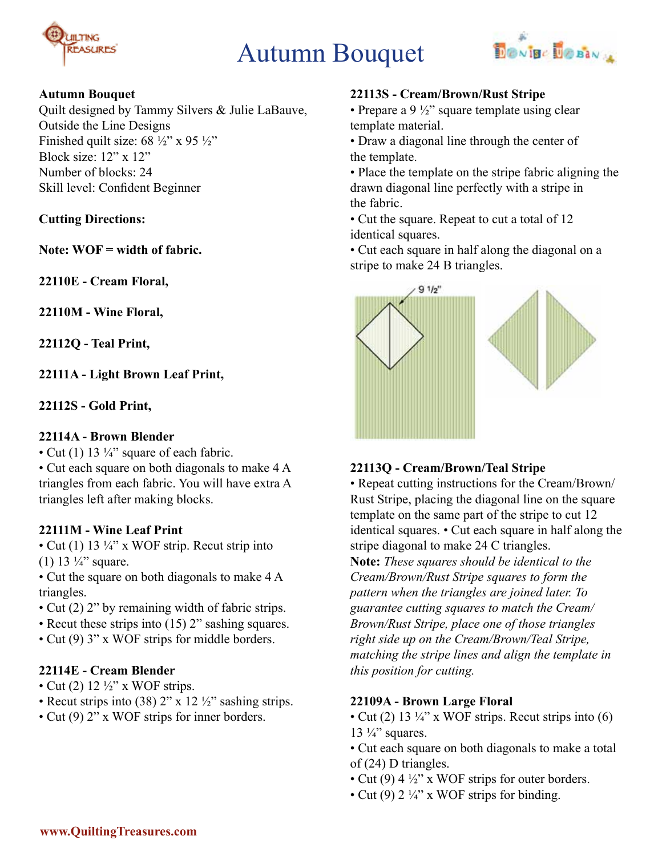

# Autumn Bouquet



#### **Autumn Bouquet**

Quilt designed by Tammy Silvers & Julie LaBauve, Outside the Line Designs Finished quilt size:  $68\frac{1}{2}$ " x 95 $\frac{1}{2}$ " Block size: 12" x 12" Number of blocks: 24 Skill level: Confident Beginner

#### **Cutting Directions:**

**Note: WOF = width of fabric.**

**22110E - Cream Floral,**

**22110M - Wine Floral,** 

**22112Q - Teal Print,**

**22111A - Light Brown Leaf Print,** 

**22112S - Gold Print,**

#### **22114A - Brown Blender**

• Cut (1) 13  $\frac{1}{4}$ " square of each fabric. • Cut each square on both diagonals to make 4 A triangles from each fabric. You will have extra A triangles left after making blocks.

## **22111M - Wine Leaf Print**

• Cut (1) 13  $\frac{1}{4}$ " x WOF strip. Recut strip into (1) 13  $\frac{1}{4}$ " square.

• Cut the square on both diagonals to make 4 A triangles.

- Cut (2) 2" by remaining width of fabric strips.
- Recut these strips into (15) 2" sashing squares.
- Cut (9) 3" x WOF strips for middle borders.

#### **22114E - Cream Blender**

- Cut (2)  $12\frac{1}{2}$ " x WOF strips.
- Recut strips into (38)  $2''$  x 12  $\frac{1}{2}$  sashing strips.
- Cut (9) 2" x WOF strips for inner borders.

#### **22113S - Cream/Brown/Rust Stripe**

• Prepare a 9  $\frac{1}{2}$ " square template using clear template material.

• Draw a diagonal line through the center of the template.

• Place the template on the stripe fabric aligning the drawn diagonal line perfectly with a stripe in the fabric.

• Cut the square. Repeat to cut a total of 12 identical squares.

• Cut each square in half along the diagonal on a stripe to make 24 B triangles.



## **22113Q - Cream/Brown/Teal Stripe**

• Repeat cutting instructions for the Cream/Brown/ Rust Stripe, placing the diagonal line on the square template on the same part of the stripe to cut 12 identical squares. • Cut each square in half along the stripe diagonal to make 24 C triangles.

**Note:** *These squares should be identical to the Cream/Brown/Rust Stripe squares to form the pattern when the triangles are joined later. To guarantee cutting squares to match the Cream/ Brown/Rust Stripe, place one of those triangles right side up on the Cream/Brown/Teal Stripe, matching the stripe lines and align the template in this position for cutting.*

## **22109A - Brown Large Floral**

- Cut (2) 13  $\frac{1}{4}$ " x WOF strips. Recut strips into (6) 13  $\frac{1}{4}$ " squares.
- Cut each square on both diagonals to make a total of (24) D triangles.
- Cut (9)  $4\frac{1}{2}$ " x WOF strips for outer borders.
- Cut (9)  $2\frac{1}{4}$ " x WOF strips for binding.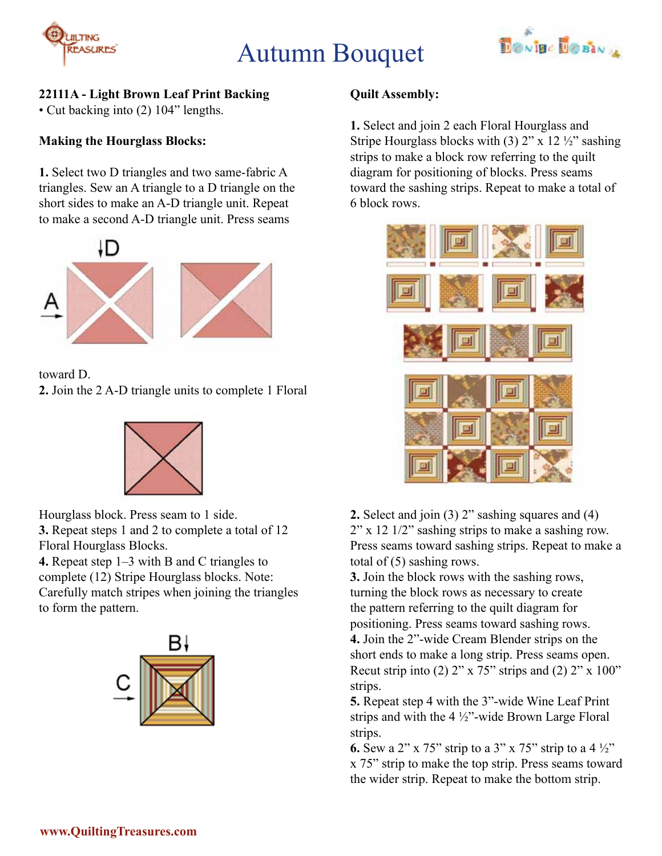# Autumn Bouquet



## **22111A - Light Brown Leaf Print Backing**

• Cut backing into (2) 104" lengths.

#### **Making the Hourglass Blocks:**

**JILTING** 

**REASURES** 

**1.** Select two D triangles and two same-fabric A triangles. Sew an A triangle to a D triangle on the short sides to make an A-D triangle unit. Repeat to make a second A-D triangle unit. Press seams



toward D. **2.** Join the 2 A-D triangle units to complete 1 Floral



Hourglass block. Press seam to 1 side. **3.** Repeat steps 1 and 2 to complete a total of 12 Floral Hourglass Blocks.

**4.** Repeat step 1–3 with B and C triangles to complete (12) Stripe Hourglass blocks. Note: Carefully match stripes when joining the triangles to form the pattern.



## **Quilt Assembly:**

**1.** Select and join 2 each Floral Hourglass and Stripe Hourglass blocks with (3)  $2$ " x 12  $\frac{1}{2}$ " sashing strips to make a block row referring to the quilt diagram for positioning of blocks. Press seams toward the sashing strips. Repeat to make a total of 6 block rows.



**2.** Select and join (3) 2" sashing squares and (4)  $2''$  x 12 1/2" sashing strips to make a sashing row. Press seams toward sashing strips. Repeat to make a total of (5) sashing rows.

**3.** Join the block rows with the sashing rows, turning the block rows as necessary to create the pattern referring to the quilt diagram for positioning. Press seams toward sashing rows. **4.** Join the 2"-wide Cream Blender strips on the short ends to make a long strip. Press seams open. Recut strip into (2)  $2$ " x  $75$ " strips and (2)  $2$ " x  $100$ " strips.

**5.** Repeat step 4 with the 3"-wide Wine Leaf Print strips and with the 4 ½"-wide Brown Large Floral strips.

**6.** Sew a 2" x 75" strip to a 3" x 75" strip to a 4 ½" x 75" strip to make the top strip. Press seams toward the wider strip. Repeat to make the bottom strip.